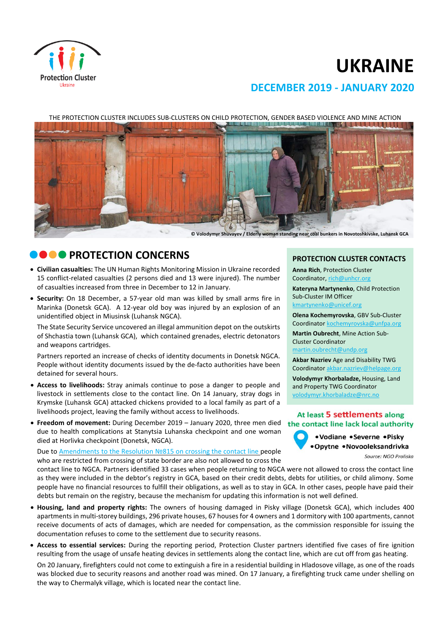

# **UKRAINE**

# **DECEMBER 2019 - JANUARY 2020**



# **CO PROTECTION CONCERNS**

- **Civilian casualties:** The UN Human Rights Monitoring Mission in Ukraine recorded 15 conflict-related casualties (2 persons died and 13 were injured). The number of casualties increased from three in December to 12 in January.
- **Security:** On 18 December, a 57-year old man was killed by small arms fire in Marinka (Donetsk GCA). A 12-year old boy was injured by an explosion of an unidentified object in Miusinsk (Luhansk NGCA).

The State Security Service uncovered an illegal ammunition depot on the outskirts of Shchastia town (Luhansk GCA), which contained grenades, electric detonators and weapons cartridges.

Partners reported an increase of checks of identity documents in Donetsk NGCA. People without identity documents issued by the de-facto authorities have been detained for several hours.

- **Access to livelihoods:** Stray animals continue to pose a danger to people and livestock in settlements close to the contact line. On 14 January, stray dogs in Krymske (Luhansk GCA) attacked chickens provided to a local family as part of a livelihoods project, leaving the family without access to livelihoods.
- **Freedom of movement:** During December 2019 January 2020, three men died due to health complications at Stanytsia Luhanska checkpoint and one woman died at Horlivka checkpoint (Donetsk, NGCA).

Due to [Amendments](https://zakon.rada.gov.ua/laws/show/815-2019-%D0%BF) to the Resolution №815 on crossing the contact line people who are restricted from crossing of state border are also not allowed to cross the

contact line to NGCA. Partners identified 33 cases when people returning to NGCA were not allowed to cross the contact line as they were included in the debtor's registry in GCA, based on their credit debts, debts for utilities, or child alimony. Some people have no financial resources to fulfill their obligations, as well as to stay in GCA. In other cases, people have paid their debts but remain on the registry, because the mechanism for updating this information is not well defined.

- **Housing, land and property rights:** The owners of housing damaged in Pisky village (Donetsk GCA), which includes 400 apartments in multi-storey buildings, 296 private houses, 67 houses for 4 owners and 1 dormitory with 100 apartments, cannot receive documents of acts of damages, which are needed for compensation, as the commission responsible for issuing the documentation refuses to come to the settlement due to security reasons.
- **Access to essential services:** During the reporting period, Protection Cluster partners identified five cases of fire ignition resulting from the usage of unsafe heating devices in settlements along the contact line, which are cut off from gas heating.

On 20 January, firefighters could not сome to extinguish a fire in a residential building in Hladosove village, as one of the roads was blocked due to security reasons and another road was mined. On 17 January, a firefighting truck came under shelling on the way to Chermalyk village, which is located near the contact line.

#### **PROTECTION CLUSTER CONTACTS**

**Anna Rich**, Protection Cluster Coordinator, [rich@unhcr.org](mailto:rich@unhcr.org)

**Kateryna Martynenko**, Child Protection Sub-Cluster IM Officer kmartynenko@unicef.org

**Olena Kochemyrovska**, GBV Sub-Cluster Coordinator [kochemyrovska@unfpa.org](mailto:kristesashvili@unfpa.org)

**Martin Oubrecht**, Mine Action Sub-Cluster Coordinator

[martin.oubrecht@undp.org](mailto:martin.oubrecht@undp.org)

**Akbar Nazriev** Age and Disability TWG Coordinator akbar.nazriev@helpage.org

**Volodymyr Khorbaladze,** Housing, Land and Property TWG Coordinator [volodymyr.khorbaladze@nrc.no](mailto:volodymyr.khorbaladze@nrc.no)

#### At least 5 settlements along the contact line lack local authority

• Vodiane • Severne • Pisky •Opytne •Novooleksandrivka

Source: NGO Proliska